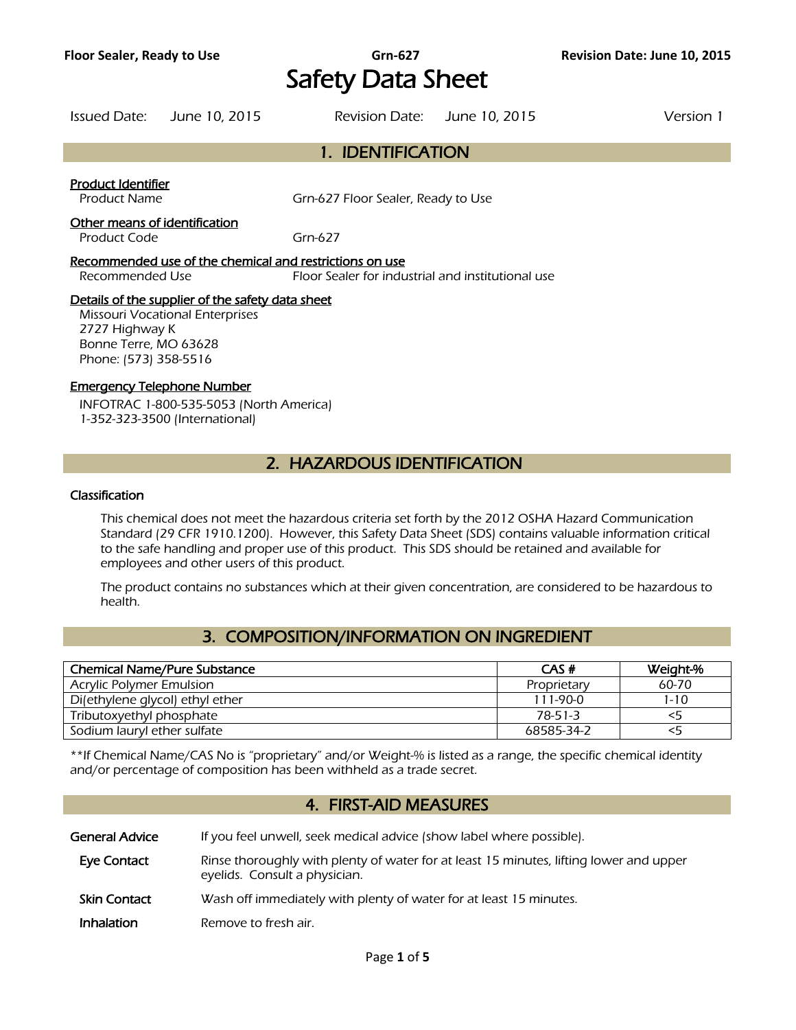## **Floor Sealer, Ready to Use Grn-627 Revision Date: June 10, 2015** Safety Data Sheet

|                                               | Issued Date: June 10, 2015 |                                    | Revision Date: June 10, 2015 | Version 1 |
|-----------------------------------------------|----------------------------|------------------------------------|------------------------------|-----------|
|                                               |                            | 1. IDENTIFICATION                  |                              |           |
| Product Identifier<br><b>Product Name</b>     |                            | Grn-627 Floor Sealer, Ready to Use |                              |           |
| Other means of identification<br>Product Code |                            | Grn-627                            |                              |           |

Recommended use of the chemical and restrictions on use Recommended Use Floor Sealer for industrial and institutional use

### Details of the supplier of the safety data sheet

Missouri Vocational Enterprises 2727 Highway K Bonne Terre, MO 63628 Phone: (573) 358-5516

### Emergency Telephone Number

INFOTRAC 1-800-535-5053 (North America) 1-352-323-3500 (International)

### 2. HAZARDOUS IDENTIFICATION

### Classification

This chemical does not meet the hazardous criteria set forth by the 2012 OSHA Hazard Communication Standard (29 CFR 1910.1200). However, this Safety Data Sheet (SDS) contains valuable information critical to the safe handling and proper use of this product. This SDS should be retained and available for employees and other users of this product.

The product contains no substances which at their given concentration, are considered to be hazardous to health.

### 3. COMPOSITION/INFORMATION ON INGREDIENT

| <b>Chemical Name/Pure Substance</b> | CAS#        | Weight-%  |
|-------------------------------------|-------------|-----------|
| <b>Acrylic Polymer Emulsion</b>     | Proprietary | $60 - 70$ |
| Di(ethylene glycol) ethyl ether     | 111-90-0    | $1 - 10$  |
| Tributoxyethyl phosphate            | 78-51-3     | <5        |
| Sodium lauryl ether sulfate         | 68585-34-2  |           |
|                                     |             |           |

\*\*If Chemical Name/CAS No is "proprietary" and/or Weight-% is listed as a range, the specific chemical identity and/or percentage of composition has been withheld as a trade secret.

### 4. FIRST-AID MEASURES

General Advice If you feel unwell, seek medical advice (show label where possible). Eye Contact Rinse thoroughly with plenty of water for at least 15 minutes, lifting lower and upper eyelids. Consult a physician.

- Skin Contact Wash off immediately with plenty of water for at least 15 minutes.
- **Inhalation** Remove to fresh air.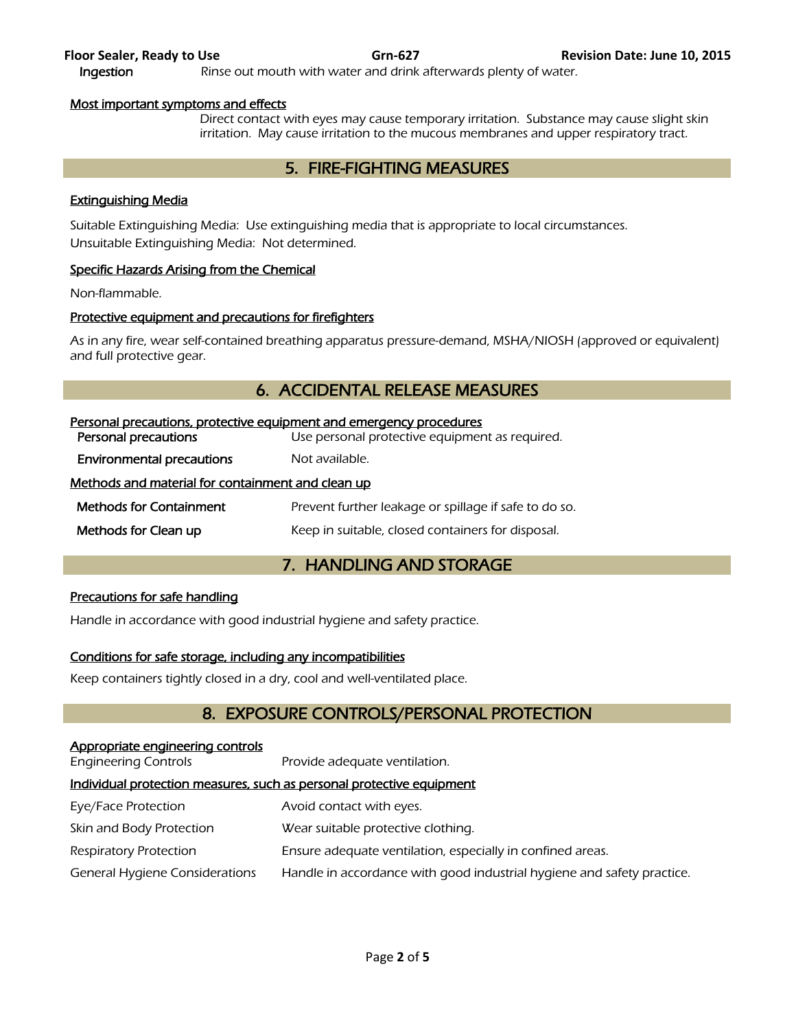| Suitable Extinguishing Media: Use extinguishing media that is appropriate to local circumstances. |  |
|---------------------------------------------------------------------------------------------------|--|
| Unsuitable Extinguishing Media: Not determined.                                                   |  |

### Specific Hazards Arising from the Chemical

Most important symptoms and effects

Non-flammable.

### Protective equipment and precautions for firefighters

As in any fire, wear self-contained breathing apparatus pressure-demand, MSHA/NIOSH (approved or equivalent) and full protective gear.

5. FIRE-FIGHTING MEASURES

Direct contact with eyes may cause temporary irritation. Substance may cause slight skin irritation. May cause irritation to the mucous membranes and upper respiratory tract.

### 6. ACCIDENTAL RELEASE MEASURES

| Personal precautions, protective equipment and emergency procedures |  |  |
|---------------------------------------------------------------------|--|--|
| Use personal protective equipment as required.                      |  |  |
| Not available.                                                      |  |  |
| Methods and material for containment and clean up                   |  |  |
| Prevent further leakage or spillage if safe to do so.               |  |  |
| Keep in suitable, closed containers for disposal.                   |  |  |
|                                                                     |  |  |

### 7. HANDLING AND STORAGE

### Precautions for safe handling

Handle in accordance with good industrial hygiene and safety practice.

### Conditions for safe storage, including any incompatibilities

Keep containers tightly closed in a dry, cool and well-ventilated place.

### 8. EXPOSURE CONTROLS/PERSONAL PROTECTION

### Appropriate engineering controls Engineering Controls Provide adequate ventilation.

### Individual protection measures, such as personal protective equipment

- Eye/Face Protection **Avoid contact with eyes.**
- Skin and Body Protection Wear suitable protective clothing.
- Respiratory Protection **Ensure adequate ventilation, especially in confined areas.**
- General Hygiene Considerations Handle in accordance with good industrial hygiene and safety practice.

Extinguishing Media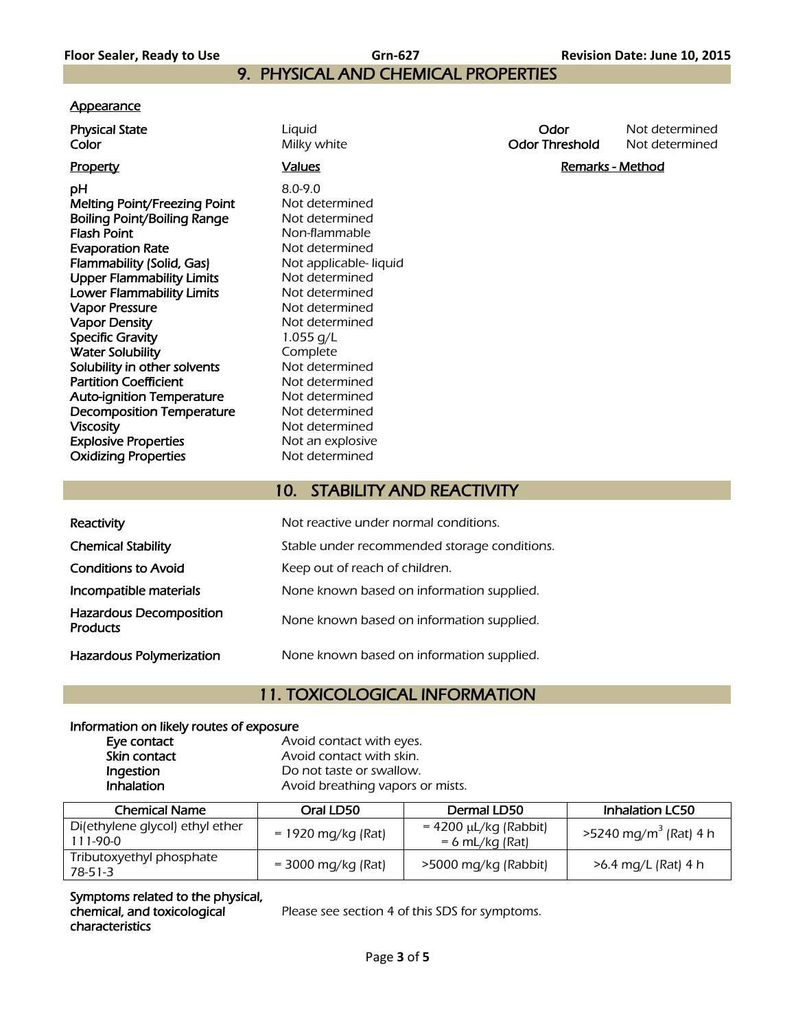# 9. PHYSICAL AND CHEMICAL PROPERTIES

### **Appearance**

**pH** 8.0-9.0 Melting Point/Freezing Point Not determined Boiling Point/Boiling Range Not determined **Flash Point** Non-flammable **Evaporation Rate** Not determined Flammability (Solid, Gas) Not applicable- liquid Upper Flammability Limits<br>
Lower Flammability Limits<br>
Not determined Lower Flammability Limits Vapor Pressure Not determined Vapor Density **Not determined** Specific Gravity 1.055 g/L Water Solubility<br>
Solubility in other solvents<br>
Not determined Solubility in other solvents Partition Coefficient Not determined Auto-ignition Temperature Mot determined Decomposition Temperature Mot determined Viscosity **Not determined Explosive Properties** Not an explosive Oxidizing Properties Not determined

**Color Color Milky white Color Threshold** Not determined

**Physical State Liquid Contract Contract Contract Contract Contract Contract Contract Contract Contract Contract Contract Contract Contract Contract Contract Contract Contract Contract Contract Contract Contract Contract** 

Property **Example 2** and Marks Controllers and Marks Controllers and Marks And Marks And Marks And Marks And Marks And Marks And Marks And Marks And Marks And Marks And Marks And Marks And Marks And Marks And Marks And Mar

### 10. STABILITY AND REACTIVITY

| Reactivity                                        | Not reactive under normal conditions.        |
|---------------------------------------------------|----------------------------------------------|
| <b>Chemical Stability</b>                         | Stable under recommended storage conditions. |
| <b>Conditions to Avoid</b>                        | Keep out of reach of children.               |
| Incompatible materials                            | None known based on information supplied.    |
| <b>Hazardous Decomposition</b><br><b>Products</b> | None known based on information supplied.    |
| Hazardous Polymerization                          | None known based on information supplied.    |

### 11. TOXICOLOGICAL INFORMATION

### Information on likely routes of exposure

| Eye contact  | Avoid contact with eyes.         |
|--------------|----------------------------------|
| Skin contact | Avoid contact with skin.         |
| Ingestion    | Do not taste or swallow.         |
| Inhalation   | Avoid breathing vapors or mists. |
|              |                                  |

| <b>Chemical Name</b>                          | Oral LD50                    | Dermal LD50                                     | <b>Inhalation LC50</b>              |
|-----------------------------------------------|------------------------------|-------------------------------------------------|-------------------------------------|
| Di(ethylene glycol) ethyl ether<br>$111-90-0$ | $= 1920 \text{ mg/kg}$ (Rat) | $= 4200 \mu L/kg$ (Rabbit)<br>$= 6$ mL/kg (Rat) | $>5240$ mg/m <sup>3</sup> (Rat) 4 h |
| Tributoxyethyl phosphate<br>$78-51-3$         | $=$ 3000 mg/kg (Rat)         | >5000 mg/kg (Rabbit)                            | >6.4 mg/L (Rat) 4 h                 |

Symptoms related to the physical, chemical, and toxicological characteristics

Please see section 4 of this SDS for symptoms.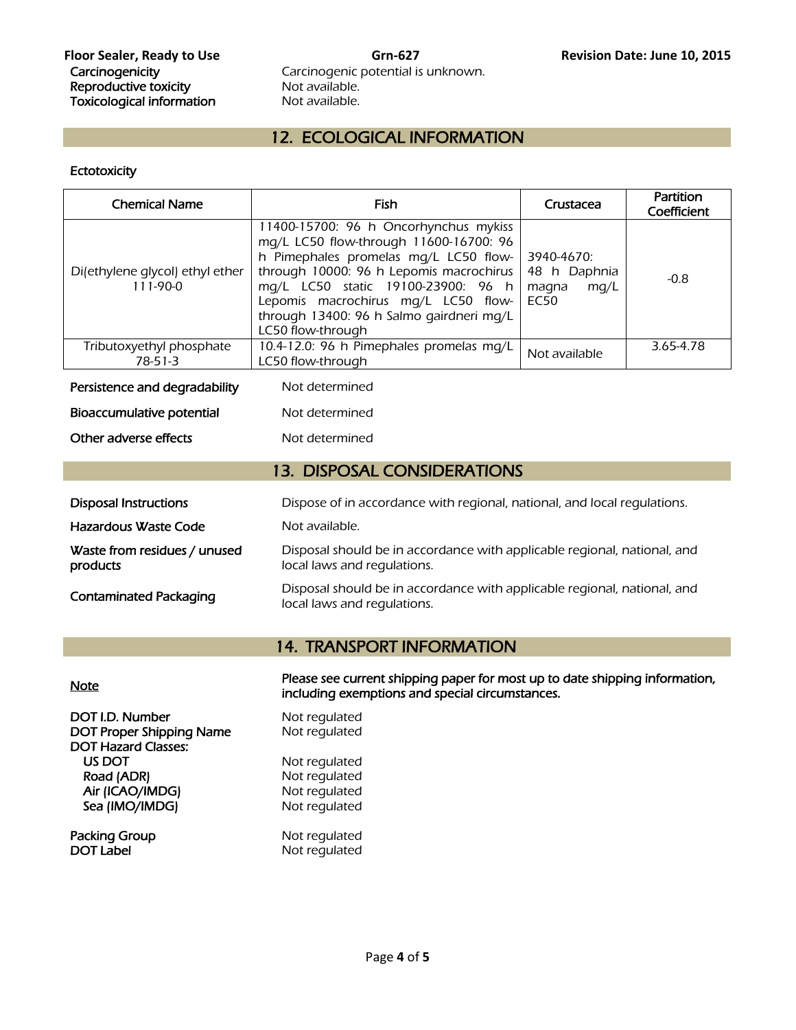# Carcinogenic potential is unknown.<br>Not available.

### 12. ECOLOGICAL INFORMATION

### **Ectotoxicity**

| <b>Chemical Name</b>                          | Fish                                                                                                                                                                                                                                                                                                              | Crustacea                                                  | Partition<br>Coefficient |  |
|-----------------------------------------------|-------------------------------------------------------------------------------------------------------------------------------------------------------------------------------------------------------------------------------------------------------------------------------------------------------------------|------------------------------------------------------------|--------------------------|--|
| Di(ethylene glycol) ethyl ether<br>$111-90-0$ | 11400-15700: 96 h Oncorhynchus mykiss<br>mq/L LC50 flow-through 11600-16700: 96<br>h Pimephales promelas mg/L LC50 flow-<br>through 10000: 96 h Lepomis macrochirus<br>mq/L LC50 static 19100-23900: 96 h<br>Lepomis macrochirus mg/L LC50 flow-<br>through 13400: 96 h Salmo gairdneri mg/L<br>LC50 flow-through | 3940-4670:<br>48 h Daphnia<br>mg/L<br>magna<br><b>EC50</b> | $-0.8$                   |  |
| Tributoxyethyl phosphate<br>$78-51-3$         | 10.4-12.0: 96 h Pimephales promelas mg/L<br>LC50 flow-through                                                                                                                                                                                                                                                     | Not available                                              | 3.65-4.78                |  |
| Persistence and degradability                 | Not determined                                                                                                                                                                                                                                                                                                    |                                                            |                          |  |
| Bioaccumulative potential<br>Not determined   |                                                                                                                                                                                                                                                                                                                   |                                                            |                          |  |
| Other adverse effects<br>Not determined       |                                                                                                                                                                                                                                                                                                                   |                                                            |                          |  |
| <b>13. DISPOSAL CONSIDERATIONS</b>            |                                                                                                                                                                                                                                                                                                                   |                                                            |                          |  |
| <b>Disposal Instructions</b>                  | Dispose of in accordance with regional, national, and local regulations.                                                                                                                                                                                                                                          |                                                            |                          |  |
| Hazardous Waste Code                          | Not available.                                                                                                                                                                                                                                                                                                    |                                                            |                          |  |
| Waste from residues / unused<br>products      | Disposal should be in accordance with applicable regional, national, and<br>local laws and regulations.                                                                                                                                                                                                           |                                                            |                          |  |
| <b>Contaminated Packaging</b>                 | Disposal should be in accordance with applicable regional, national, and<br>local laws and regulations.                                                                                                                                                                                                           |                                                            |                          |  |

### 14. TRANSPORT INFORMATION

Please see current shipping paper for most up to date shipping information,<br>including exemptions and special circumstances.

| DOT I.D. Number<br><b>DOT Proper Shipping Name</b><br><b>DOT Hazard Classes:</b> | Not regulated<br>Not regulated |
|----------------------------------------------------------------------------------|--------------------------------|
| US DOT                                                                           | Not regulated                  |
| Road (ADR)                                                                       | Not regulated                  |
| Air (ICAO/IMDG)                                                                  | Not regulated                  |
| Sea (IMO/IMDG)                                                                   | Not regulated                  |
| Packing Group                                                                    | Not regulated                  |
| <b>DOT Label</b>                                                                 | Not regulated                  |